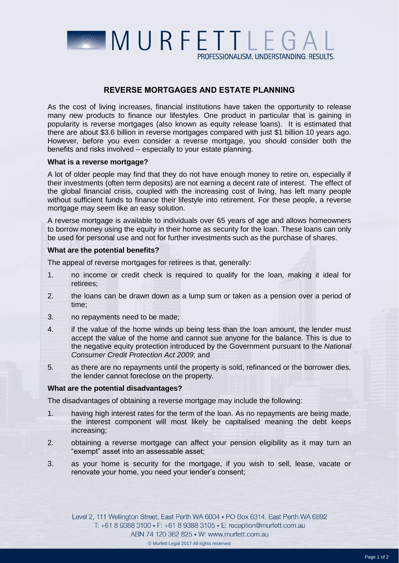

PROFESSIONALISM, UNDERSTANDING, RESULTS,

# REVERSE MORTGAGES AND ESTATE PLANNING

As the cost of living increases, financial institutions have taken the opportunity to release many new products to finance our lifestyles. One product in particular that is gaining in popularity is reverse mortgages (also known as equity release loans). It is estimated that there are about \$3.6 billion in reverse mortgages compared with just \$1 billion 10 years ago. However, before you even consider a reverse mortgage, you should consider both the benefits and risks involved – especially to your estate planning.

## **What is a reverse mortgage?**

A lot of older people may find that they do not have enough money to retire on, especially if their investments (often term deposits) are not earning a decent rate of interest. The effect of the global financial crisis, coupled with the increasing cost of living, has left many people without sufficient funds to finance their lifestyle into retirement. For these people, a reverse mortgage may seem like an easy solution.

A reverse mortgage is available to individuals over 65 years of age and allows homeowners to borrow money using the equity in their home as security for the loan. These loans can only be used for personal use and not for further investments such as the purchase of shares.

## **What are the potential benefits?**

The appeal of reverse mortgages for retirees is that, generally:

- 1. no income or credit check is required to qualify for the loan, making it ideal for retirees;
- 2. the loans can be drawn down as a lump sum or taken as a pension over a period of time;
- 3. no repayments need to be made;
- 4. if the value of the home winds up being less than the loan amount, the lender must accept the value of the home and cannot sue anyone for the balance. This is due to the negative equity protection introduced by the Government pursuant to the *National Consumer Credit Protection Act 2009*; and
- 5. as there are no repayments until the property is sold, refinanced or the borrower dies, the lender cannot foreclose on the property.

#### **What are the potential disadvantages?**

The disadvantages of obtaining a reverse mortgage may include the following:

- 1. having high interest rates for the term of the loan. As no repayments are being made, the interest component will most likely be capitalised meaning the debt keeps increasing;
- 2. obtaining a reverse mortgage can affect your pension eligibility as it may turn an "exempt" asset into an assessable asset;
- 3. as your home is security for the mortgage, if you wish to sell, lease, vacate or renovate your home, you need your lender's consent;

Level 2, 111 Wellington Street, East Perth WA 6004 . PO Box 6314, East Perth WA 6892 T: +61 8 9388 3100 • F: +61 8 9388 3105 • E: reception@murfett.com.au ABN 74 120 362 825 • W: www.murfett.com.au © Murfett Legal 2017 All rights reserved